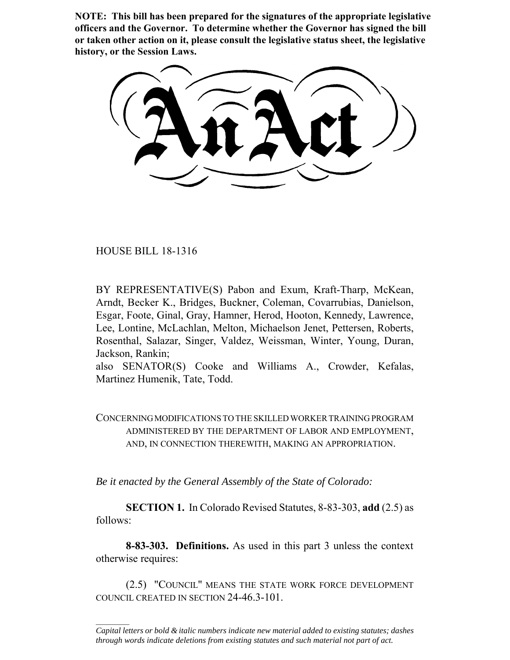**NOTE: This bill has been prepared for the signatures of the appropriate legislative officers and the Governor. To determine whether the Governor has signed the bill or taken other action on it, please consult the legislative status sheet, the legislative history, or the Session Laws.**

HOUSE BILL 18-1316

 $\frac{1}{2}$ 

BY REPRESENTATIVE(S) Pabon and Exum, Kraft-Tharp, McKean, Arndt, Becker K., Bridges, Buckner, Coleman, Covarrubias, Danielson, Esgar, Foote, Ginal, Gray, Hamner, Herod, Hooton, Kennedy, Lawrence, Lee, Lontine, McLachlan, Melton, Michaelson Jenet, Pettersen, Roberts, Rosenthal, Salazar, Singer, Valdez, Weissman, Winter, Young, Duran, Jackson, Rankin;

also SENATOR(S) Cooke and Williams A., Crowder, Kefalas, Martinez Humenik, Tate, Todd.

CONCERNING MODIFICATIONS TO THE SKILLED WORKER TRAINING PROGRAM ADMINISTERED BY THE DEPARTMENT OF LABOR AND EMPLOYMENT, AND, IN CONNECTION THEREWITH, MAKING AN APPROPRIATION.

*Be it enacted by the General Assembly of the State of Colorado:*

**SECTION 1.** In Colorado Revised Statutes, 8-83-303, **add** (2.5) as follows:

**8-83-303. Definitions.** As used in this part 3 unless the context otherwise requires:

(2.5) "COUNCIL" MEANS THE STATE WORK FORCE DEVELOPMENT COUNCIL CREATED IN SECTION 24-46.3-101.

*Capital letters or bold & italic numbers indicate new material added to existing statutes; dashes through words indicate deletions from existing statutes and such material not part of act.*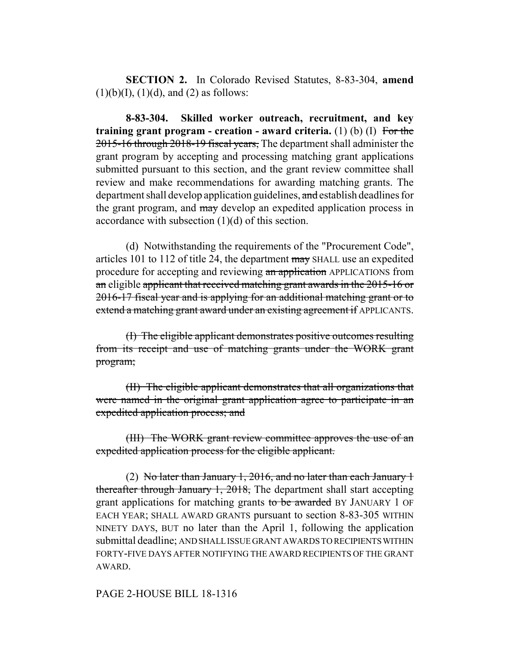**SECTION 2.** In Colorado Revised Statutes, 8-83-304, **amend**  $(1)(b)(I), (1)(d),$  and  $(2)$  as follows:

**8-83-304. Skilled worker outreach, recruitment, and key training grant program - creation - award criteria.** (1) (b) (I) For the 2015-16 through 2018-19 fiscal years, The department shall administer the grant program by accepting and processing matching grant applications submitted pursuant to this section, and the grant review committee shall review and make recommendations for awarding matching grants. The department shall develop application guidelines, and establish deadlines for the grant program, and may develop an expedited application process in accordance with subsection (1)(d) of this section.

(d) Notwithstanding the requirements of the "Procurement Code", articles 101 to 112 of title 24, the department may SHALL use an expedited procedure for accepting and reviewing an application APPLICATIONS from an eligible applicant that received matching grant awards in the 2015-16 or 2016-17 fiscal year and is applying for an additional matching grant or to extend a matching grant award under an existing agreement if APPLICANTS.

(I) The eligible applicant demonstrates positive outcomes resulting from its receipt and use of matching grants under the WORK grant program;

(II) The eligible applicant demonstrates that all organizations that were named in the original grant application agree to participate in an expedited application process; and

(III) The WORK grant review committee approves the use of an expedited application process for the eligible applicant.

(2) No later than January 1, 2016, and no later than each January 1 thereafter through January 1, 2018, The department shall start accepting grant applications for matching grants to be awarded BY JANUARY 1 OF EACH YEAR; SHALL AWARD GRANTS pursuant to section 8-83-305 WITHIN NINETY DAYS, BUT no later than the April 1, following the application submittal deadline; AND SHALL ISSUE GRANT AWARDS TO RECIPIENTS WITHIN FORTY-FIVE DAYS AFTER NOTIFYING THE AWARD RECIPIENTS OF THE GRANT AWARD.

## PAGE 2-HOUSE BILL 18-1316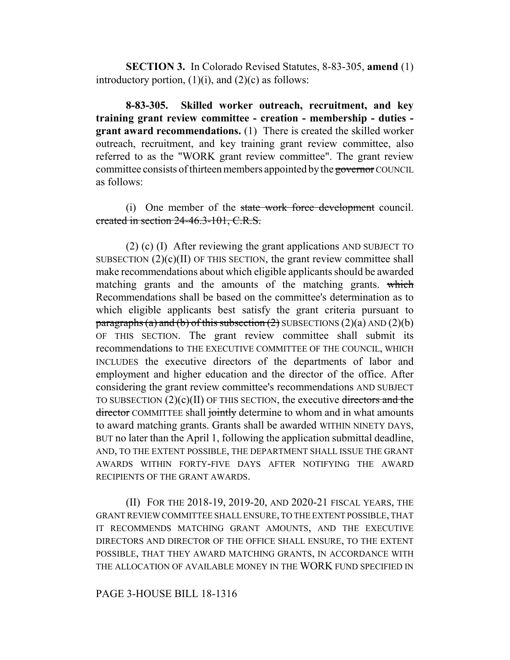**SECTION 3.** In Colorado Revised Statutes, 8-83-305, **amend** (1) introductory portion,  $(1)(i)$ , and  $(2)(c)$  as follows:

**8-83-305. Skilled worker outreach, recruitment, and key training grant review committee - creation - membership - duties grant award recommendations.** (1) There is created the skilled worker outreach, recruitment, and key training grant review committee, also referred to as the "WORK grant review committee". The grant review committee consists of thirteen members appointed by the governor COUNCIL as follows:

(i) One member of the state work force development council. created in section 24-46.3-101, C.R.S.

(2) (c) (I) After reviewing the grant applications AND SUBJECT TO SUBSECTION  $(2)(c)(II)$  OF THIS SECTION, the grant review committee shall make recommendations about which eligible applicants should be awarded matching grants and the amounts of the matching grants. which Recommendations shall be based on the committee's determination as to which eligible applicants best satisfy the grant criteria pursuant to paragraphs (a) and (b) of this subsection (2) SUBSECTIONS  $(2)(a)$  AND  $(2)(b)$ OF THIS SECTION. The grant review committee shall submit its recommendations to THE EXECUTIVE COMMITTEE OF THE COUNCIL, WHICH INCLUDES the executive directors of the departments of labor and employment and higher education and the director of the office. After considering the grant review committee's recommendations AND SUBJECT TO SUBSECTION  $(2)(c)(II)$  OF THIS SECTION, the executive directors and the director COMMITTEE shall jointly determine to whom and in what amounts to award matching grants. Grants shall be awarded WITHIN NINETY DAYS, BUT no later than the April 1, following the application submittal deadline, AND, TO THE EXTENT POSSIBLE, THE DEPARTMENT SHALL ISSUE THE GRANT AWARDS WITHIN FORTY-FIVE DAYS AFTER NOTIFYING THE AWARD RECIPIENTS OF THE GRANT AWARDS.

(II) FOR THE 2018-19, 2019-20, AND 2020-21 FISCAL YEARS, THE GRANT REVIEW COMMITTEE SHALL ENSURE, TO THE EXTENT POSSIBLE, THAT IT RECOMMENDS MATCHING GRANT AMOUNTS, AND THE EXECUTIVE DIRECTORS AND DIRECTOR OF THE OFFICE SHALL ENSURE, TO THE EXTENT POSSIBLE, THAT THEY AWARD MATCHING GRANTS, IN ACCORDANCE WITH THE ALLOCATION OF AVAILABLE MONEY IN THE WORK FUND SPECIFIED IN

## PAGE 3-HOUSE BILL 18-1316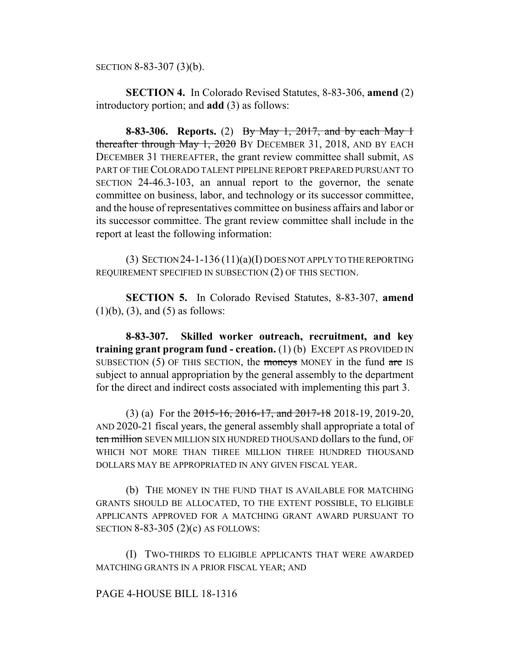SECTION 8-83-307 (3)(b).

**SECTION 4.** In Colorado Revised Statutes, 8-83-306, **amend** (2) introductory portion; and **add** (3) as follows:

**8-83-306. Reports.** (2) By May 1, 2017, and by each May 1 thereafter through May 1, 2020 BY DECEMBER 31, 2018, AND BY EACH DECEMBER 31 THEREAFTER, the grant review committee shall submit, AS PART OF THE COLORADO TALENT PIPELINE REPORT PREPARED PURSUANT TO SECTION 24-46.3-103, an annual report to the governor, the senate committee on business, labor, and technology or its successor committee, and the house of representatives committee on business affairs and labor or its successor committee. The grant review committee shall include in the report at least the following information:

(3) SECTION  $24$ -1-136 (11)(a)(I) DOES NOT APPLY TO THE REPORTING REQUIREMENT SPECIFIED IN SUBSECTION (2) OF THIS SECTION.

**SECTION 5.** In Colorado Revised Statutes, 8-83-307, **amend**  $(1)(b)$ ,  $(3)$ , and  $(5)$  as follows:

**8-83-307. Skilled worker outreach, recruitment, and key training grant program fund - creation.** (1) (b) EXCEPT AS PROVIDED IN SUBSECTION  $(5)$  OF THIS SECTION, the moneys MONEY in the fund are IS subject to annual appropriation by the general assembly to the department for the direct and indirect costs associated with implementing this part 3.

(3) (a) For the 2015-16, 2016-17, and 2017-18 2018-19, 2019-20, AND 2020-21 fiscal years, the general assembly shall appropriate a total of ten million SEVEN MILLION SIX HUNDRED THOUSAND dollars to the fund, OF WHICH NOT MORE THAN THREE MILLION THREE HUNDRED THOUSAND DOLLARS MAY BE APPROPRIATED IN ANY GIVEN FISCAL YEAR.

(b) THE MONEY IN THE FUND THAT IS AVAILABLE FOR MATCHING GRANTS SHOULD BE ALLOCATED, TO THE EXTENT POSSIBLE, TO ELIGIBLE APPLICANTS APPROVED FOR A MATCHING GRANT AWARD PURSUANT TO SECTION 8-83-305 (2)(c) AS FOLLOWS:

(I) TWO-THIRDS TO ELIGIBLE APPLICANTS THAT WERE AWARDED MATCHING GRANTS IN A PRIOR FISCAL YEAR; AND

## PAGE 4-HOUSE BILL 18-1316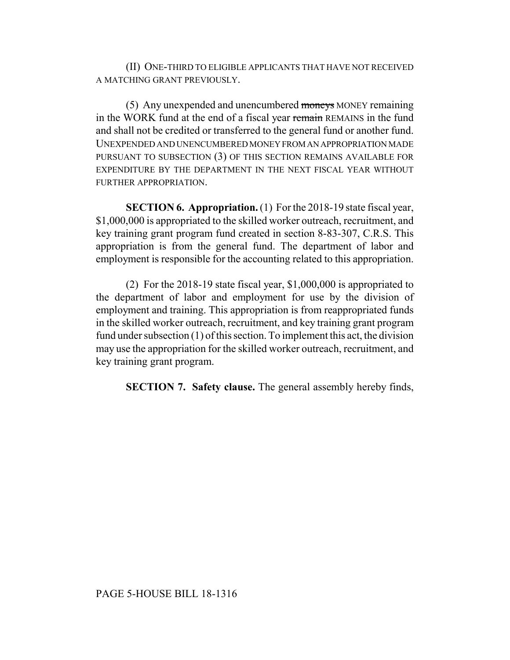(II) ONE-THIRD TO ELIGIBLE APPLICANTS THAT HAVE NOT RECEIVED A MATCHING GRANT PREVIOUSLY.

(5) Any unexpended and unencumbered moneys MONEY remaining in the WORK fund at the end of a fiscal year remain REMAINS in the fund and shall not be credited or transferred to the general fund or another fund. UNEXPENDED AND UNENCUMBERED MONEY FROM AN APPROPRIATION MADE PURSUANT TO SUBSECTION (3) OF THIS SECTION REMAINS AVAILABLE FOR EXPENDITURE BY THE DEPARTMENT IN THE NEXT FISCAL YEAR WITHOUT FURTHER APPROPRIATION.

**SECTION 6. Appropriation.** (1) For the 2018-19 state fiscal year, \$1,000,000 is appropriated to the skilled worker outreach, recruitment, and key training grant program fund created in section 8-83-307, C.R.S. This appropriation is from the general fund. The department of labor and employment is responsible for the accounting related to this appropriation.

(2) For the 2018-19 state fiscal year, \$1,000,000 is appropriated to the department of labor and employment for use by the division of employment and training. This appropriation is from reappropriated funds in the skilled worker outreach, recruitment, and key training grant program fund under subsection (1) of this section. To implement this act, the division may use the appropriation for the skilled worker outreach, recruitment, and key training grant program.

**SECTION 7. Safety clause.** The general assembly hereby finds,